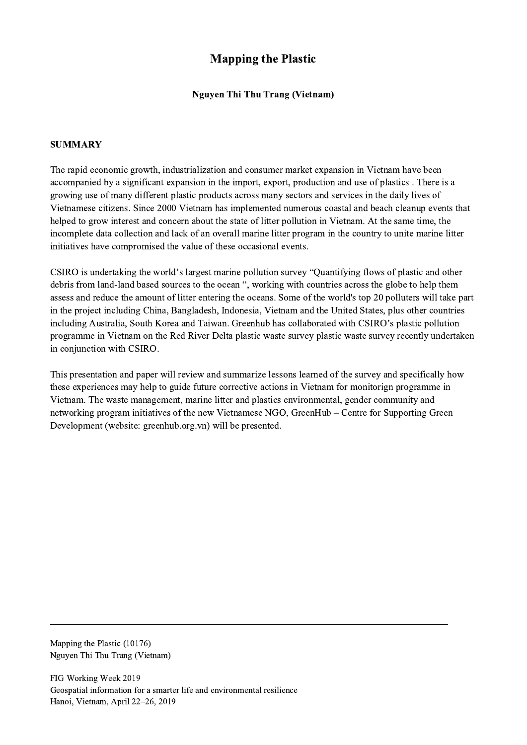## Mapping the Plastic

## Nguyen Thi Thu Trang (Vietnam)

## SUMMARY

The rapid economic growth, industrialization and consumer market expansion in Vietnam have been accompanied by a significant expansion in the import, export, production and use of plastics . There is a growing use of many different plastic products across many sectors and services in the daily lives of Vietnamese citizens. Since 2000 Vietnam has implemented numerous coastal and beach cleanup events that helped to grow interest and concern about the state of litter pollution in Vietnam. At the same time, the incomplete data collection and lack of an overall marine litter program in the country to unite marine litter initiatives have compromised the value of these occasional events.

CSIRO is undertaking the world's largest marine pollution survey "Quantifying flows of plastic and other debris from land-land based sources to the ocean ", working with countries across the globe to help them assess and reduce the amount of litter entering the oceans. Some of the world's top 20 polluters will take part in the project including China, Bangladesh, Indonesia, Vietnam and the United States, plus other countries including Australia, South Korea and Taiwan. Greenhub has collaborated with CSIRO's plastic pollution programme in Vietnam on the Red River Delta plastic waste survey plastic waste survey recently undertaken in conjunction with CSIRO.

This presentation and paper will review and summarize lessons learned of the survey and specifically how these experiences may help to guide future corrective actions in Vietnam for monitorign programme in Vietnam. The waste management, marine litter and plastics environmental, gender community and networking program initiatives of the new Vietnamese NGO, GreenHub – Centre for Supporting Green Development (website: greenhub.org.vn) will be presented.

 $\mathcal{L}_\mathcal{L} = \{ \mathcal{L}_\mathcal{L} = \{ \mathcal{L}_\mathcal{L} = \{ \mathcal{L}_\mathcal{L} = \{ \mathcal{L}_\mathcal{L} = \{ \mathcal{L}_\mathcal{L} = \{ \mathcal{L}_\mathcal{L} = \{ \mathcal{L}_\mathcal{L} = \{ \mathcal{L}_\mathcal{L} = \{ \mathcal{L}_\mathcal{L} = \{ \mathcal{L}_\mathcal{L} = \{ \mathcal{L}_\mathcal{L} = \{ \mathcal{L}_\mathcal{L} = \{ \mathcal{L}_\mathcal{L} = \{ \mathcal{L}_\mathcal{$ 

Mapping the Plastic (10176) Nguyen Thi Thu Trang (Vietnam)

FIG Working Week 2019 Geospatial information for a smarter life and environmental resilience Hanoi, Vietnam, April 22–26, 2019